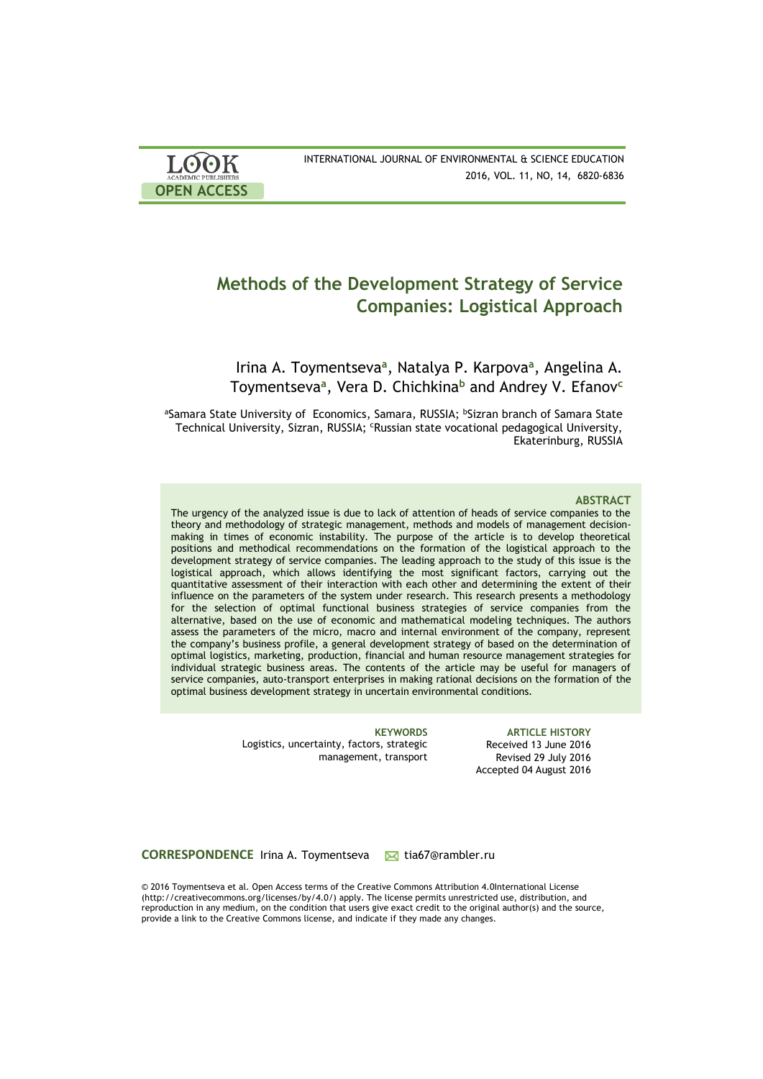| <b>LOOK</b>                | INTERNATIONAL JOURNAL OF ENVIRONMENTAL & SCIENCE EDUCATION |
|----------------------------|------------------------------------------------------------|
| <b>ACADEMIC PUBLISHERS</b> | 2016, VOL. 11, NO, 14, 6820-6836                           |
| <b>OPEN ACCESS</b>         |                                                            |

# **Methods of the Development Strategy of Service Companies: Logistical Approach**

Irina A. Toymentseva**<sup>a</sup>** , Natalya P. Karpova**<sup>a</sup>** , Angelina A. Toymentseva**<sup>a</sup>** , Vera D. Chichkina**<sup>b</sup>** and Andrey V. Efanov**<sup>c</sup>**

aSamara State University of Economics, Samara, RUSSIA; bSizran branch of Samara State Technical University, Sizran, RUSSIA; <sup>c</sup>Russian state vocational pedagogical University, Ekaterinburg, RUSSIA

#### **ABSTRACT**

The urgency of the analyzed issue is due to lack of attention of heads of service companies to the theory and methodology of strategic management, methods and models of management decisionmaking in times of economic instability. The purpose of the article is to develop theoretical positions and methodical recommendations on the formation of the logistical approach to the development strategy of service companies. The leading approach to the study of this issue is the logistical approach, which allows identifying the most significant factors, carrying out the quantitative assessment of their interaction with each other and determining the extent of their influence on the parameters of the system under research. This research presents a methodology for the selection of optimal functional business strategies of service companies from the alternative, based on the use of economic and mathematical modeling techniques. The authors assess the parameters of the micro, macro and internal environment of the company, represent the company's business profile, a general development strategy of based on the determination of optimal logistics, marketing, production, financial and human resource management strategies for individual strategic business areas. The contents of the article may be useful for managers of service companies, auto-transport enterprises in making rational decisions on the formation of the optimal business development strategy in uncertain environmental conditions.

> Logistics, uncertainty, factors, strategic management, transport

**KEYWORDS ARTICLE HISTORY** Received 13 June 2016 Revised 29 July 2016 Accepted 04 August 2016

**CORRESPONDENCE** Irina A. Toymentseva M tia67@rambler.ru

© 2016 Toymentseva et al. Open Access terms of the Creative Commons Attribution 4.0International License (http://creativecommons.org/licenses/by/4.0/) apply. The license permits unrestricted use, distribution, and reproduction in any medium, on the condition that users give exact credit to the original author(s) and the source, provide a link to the Creative Commons license, and indicate if they made any changes.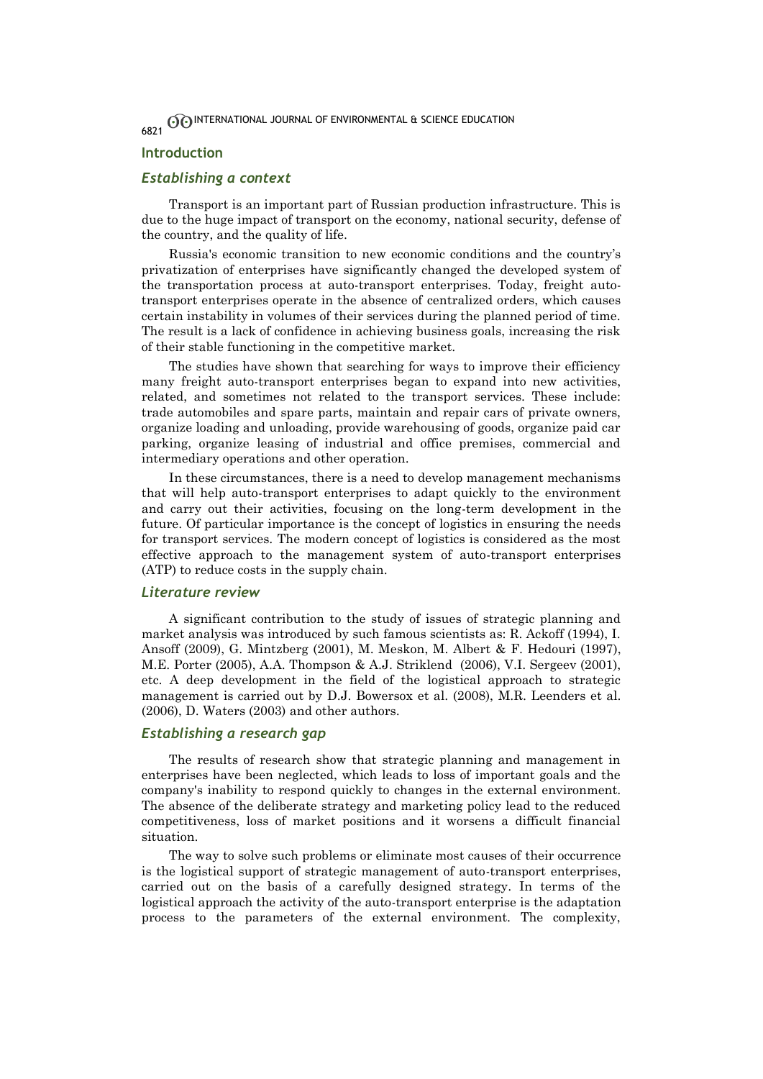## **Introduction**

## *Establishing a context*

Transport is an important part of Russian production infrastructure. This is due to the huge impact of transport on the economy, national security, defense of the country, and the quality of life.

Russia's economic transition to new economic conditions and the country's privatization of enterprises have significantly changed the developed system of the transportation process at auto-transport enterprises. Today, freight autotransport enterprises operate in the absence of centralized orders, which causes certain instability in volumes of their services during the planned period of time. The result is a lack of confidence in achieving business goals, increasing the risk of their stable functioning in the competitive market.

The studies have shown that searching for ways to improve their efficiency many freight auto-transport enterprises began to expand into new activities, related, and sometimes not related to the transport services. These include: trade automobiles and spare parts, maintain and repair cars of private owners, organize loading and unloading, provide warehousing of goods, organize paid car parking, organize leasing of industrial and office premises, commercial and intermediary operations and other operation.

In these circumstances, there is a need to develop management mechanisms that will help auto-transport enterprises to adapt quickly to the environment and carry out their activities, focusing on the long-term development in the future. Of particular importance is the concept of logistics in ensuring the needs for transport services. The modern concept of logistics is considered as the most effective approach to the management system of auto-transport enterprises (ATP) to reduce costs in the supply chain.

## *Literature review*

A significant contribution to the study of issues of strategic planning and market analysis was introduced by such famous scientists as: R. Ackoff (1994), I. Ansoff (2009), G. Mintzberg (2001), M. Meskon, M. Albert & F. Hedouri (1997), M.E. Porter (2005), A.A. Thompson & A.J. Striklend (2006), V.I. Sergeev (2001), etc. A deep development in the field of the logistical approach to strategic management is carried out by D.J. Bowersox et al. (2008), M.R. Leenders et al. (2006), D. Waters (2003) and other authors.

## *Establishing a research gap*

The results of research show that strategic planning and management in enterprises have been neglected, which leads to loss of important goals and the company's inability to respond quickly to changes in the external environment. The absence of the deliberate strategy and marketing policy lead to the reduced competitiveness, loss of market positions and it worsens a difficult financial situation.

The way to solve such problems or eliminate most causes of their occurrence is the logistical support of strategic management of auto-transport enterprises, carried out on the basis of a carefully designed strategy. In terms of the logistical approach the activity of the auto-transport enterprise is the adaptation process to the parameters of the external environment. The complexity,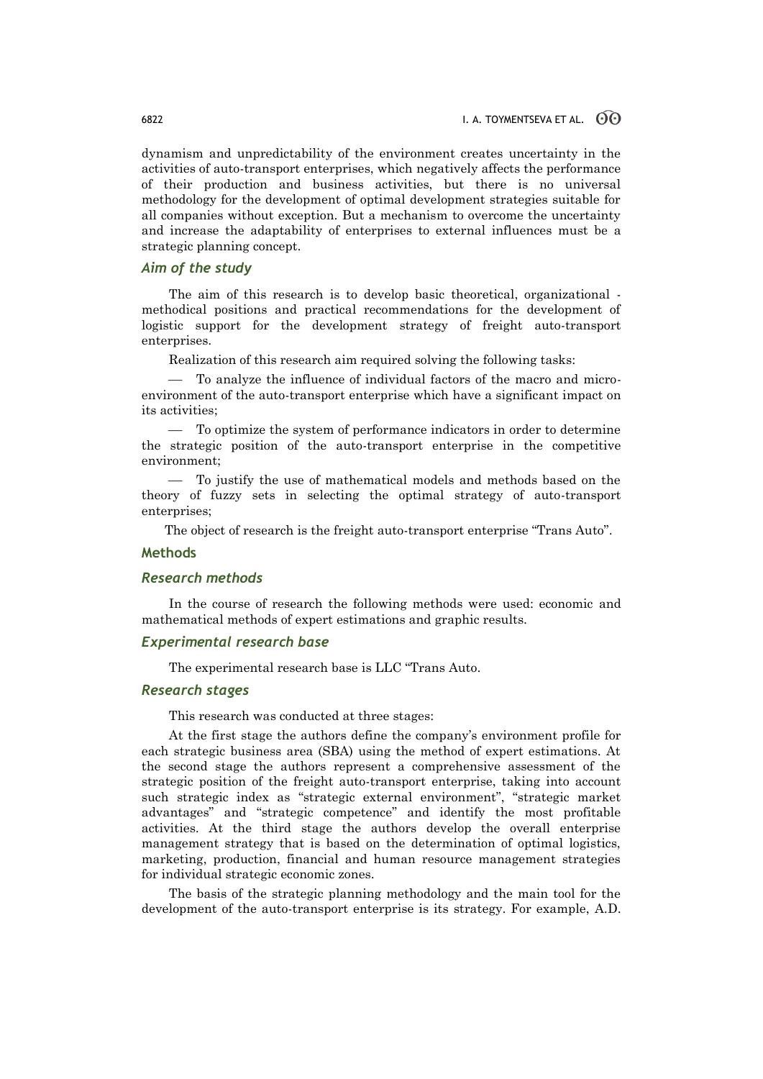dynamism and unpredictability of the environment creates uncertainty in the activities of auto-transport enterprises, which negatively affects the performance of their production and business activities, but there is no universal methodology for the development of optimal development strategies suitable for all companies without exception. But a mechanism to overcome the uncertainty and increase the adaptability of enterprises to external influences must be a strategic planning concept.

# *Aim of the study*

The aim of this research is to develop basic theoretical, organizational methodical positions and practical recommendations for the development of logistic support for the development strategy of freight auto-transport enterprises.

Realization of this research aim required solving the following tasks:

 To analyze the influence of individual factors of the macro and microenvironment of the auto-transport enterprise which have a significant impact on its activities;

 To optimize the system of performance indicators in order to determine the strategic position of the auto-transport enterprise in the competitive environment;

 To justify the use of mathematical models and methods based on the theory of fuzzy sets in selecting the optimal strategy of auto-transport enterprises;

The object of research is the freight auto-transport enterprise "Trans Auto".

# **Methods**

#### *Research methods*

In the course of research the following methods were used: economic and mathematical methods of expert estimations and graphic results.

## *Experimental research base*

The experimental research base is LLC "Trans Auto.

## *Research stages*

This research was conducted at three stages:

At the first stage the authors define the company's environment profile for each strategic business area (SBA) using the method of expert estimations. At the second stage the authors represent a comprehensive assessment of the strategic position of the freight auto-transport enterprise, taking into account such strategic index as "strategic external environment", "strategic market advantages" and "strategic competence" and identify the most profitable activities. At the third stage the authors develop the overall enterprise management strategy that is based on the determination of optimal logistics, marketing, production, financial and human resource management strategies for individual strategic economic zones.

The basis of the strategic planning methodology and the main tool for the development of the auto-transport enterprise is its strategy. For example, A.D.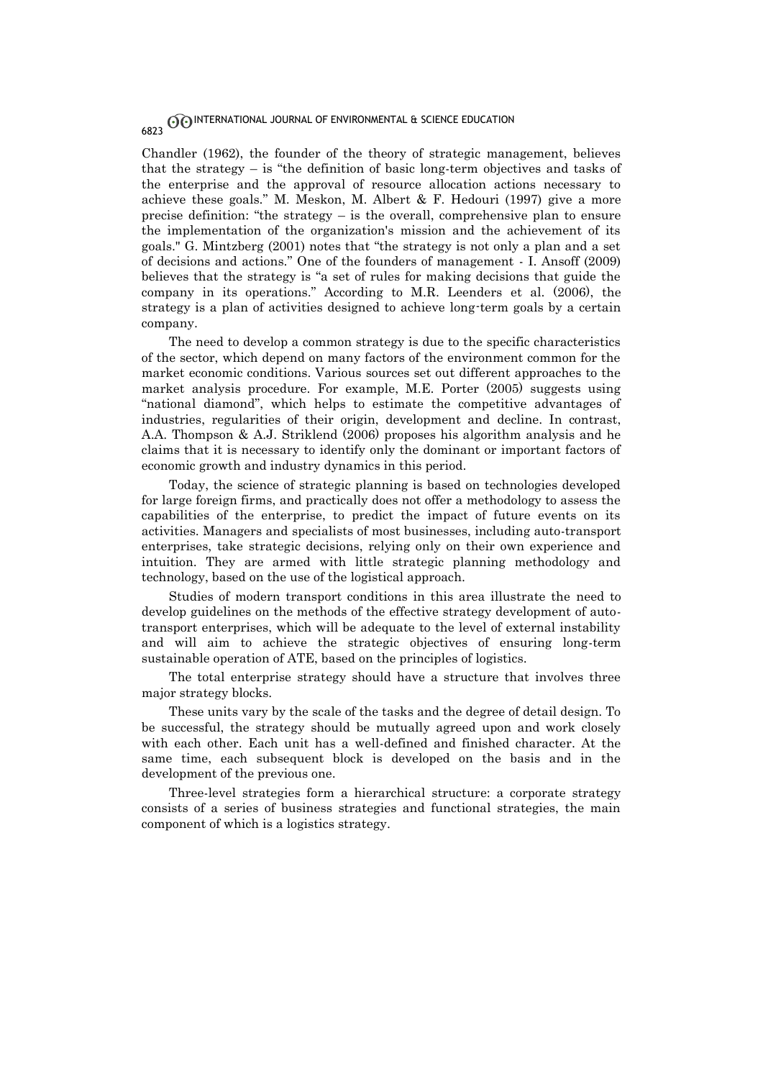Chandler (1962), the founder of the theory of strategic management, believes that the strategy  $-$  is "the definition of basic long-term objectives and tasks of the enterprise and the approval of resource allocation actions necessary to achieve these goals." M. Meskon, M. Albert & F. Hedouri (1997) give a more precise definition: "the strategy – is the overall, comprehensive plan to ensure the implementation of the organization's mission and the achievement of its goals." G. Mintzberg (2001) notes that "the strategy is not only a plan and a set of decisions and actions." One of the founders of management - I. Ansoff (2009) believes that the strategy is "a set of rules for making decisions that guide the company in its operations." According to M.R. Leenders et al. (2006), the strategy is a plan of activities designed to achieve long-term goals by a certain company.

The need to develop a common strategy is due to the specific characteristics of the sector, which depend on many factors of the environment common for the market economic conditions. Various sources set out different approaches to the market analysis procedure. For example, M.E. Porter (2005) suggests using "national diamond", which helps to estimate the competitive advantages of industries, regularities of their origin, development and decline. In contrast, A.A. Thompson & A.J. Striklend (2006) proposes his algorithm analysis and he claims that it is necessary to identify only the dominant or important factors of economic growth and industry dynamics in this period.

Today, the science of strategic planning is based on technologies developed for large foreign firms, and practically does not offer a methodology to assess the capabilities of the enterprise, to predict the impact of future events on its activities. Managers and specialists of most businesses, including auto-transport enterprises, take strategic decisions, relying only on their own experience and intuition. They are armed with little strategic planning methodology and technology, based on the use of the logistical approach.

Studies of modern transport conditions in this area illustrate the need to develop guidelines on the methods of the effective strategy development of autotransport enterprises, which will be adequate to the level of external instability and will aim to achieve the strategic objectives of ensuring long-term sustainable operation of ATE, based on the principles of logistics.

The total enterprise strategy should have a structure that involves three major strategy blocks.

These units vary by the scale of the tasks and the degree of detail design. To be successful, the strategy should be mutually agreed upon and work closely with each other. Each unit has a well-defined and finished character. At the same time, each subsequent block is developed on the basis and in the development of the previous one.

Three-level strategies form a hierarchical structure: a corporate strategy consists of a series of business strategies and functional strategies, the main component of which is a logistics strategy.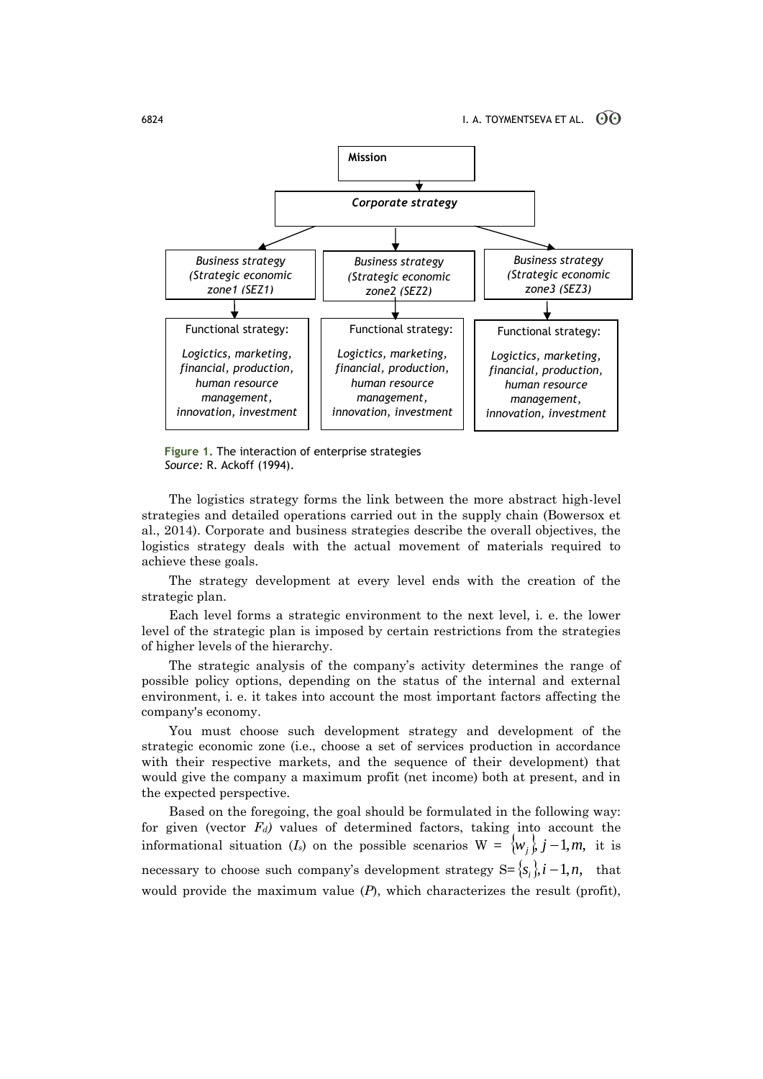

**Figure 1.** The interaction of enterprise strategies *Source:* R. Ackoff (1994).

The logistics strategy forms the link between the more abstract high-level strategies and detailed operations carried out in the supply chain (Bowersox et al., 2014). Corporate and business strategies describe the overall objectives, the logistics strategy deals with the actual movement of materials required to achieve these goals.

The strategy development at every level ends with the creation of the strategic plan.

Each level forms a strategic environment to the next level, i. e. the lower level of the strategic plan is imposed by certain restrictions from the strategies of higher levels of the hierarchy.

The strategic analysis of the company's activity determines the range of possible policy options, depending on the status of the internal and external environment, i. e. it takes into account the most important factors affecting the company's economy.

You must choose such development strategy and development of the strategic economic zone (i.e., choose a set of services production in accordance with their respective markets, and the sequence of their development) that would give the company a maximum profit (net income) both at present, and in the expected perspective.

Based on the foregoing, the goal should be formulated in the following way: for given (vector *Fd)* values of determined factors, taking into account the informational situation (*I<sub>s</sub>*) on the possible scenarios  $W = \{w_j\}$ ,  $j-1, m$ , it is necessary to choose such company's development strategy  $S = \{s_i\}$ ,  $i - 1, n$ , that would provide the maximum value  $(P)$ , which characterizes the result (profit),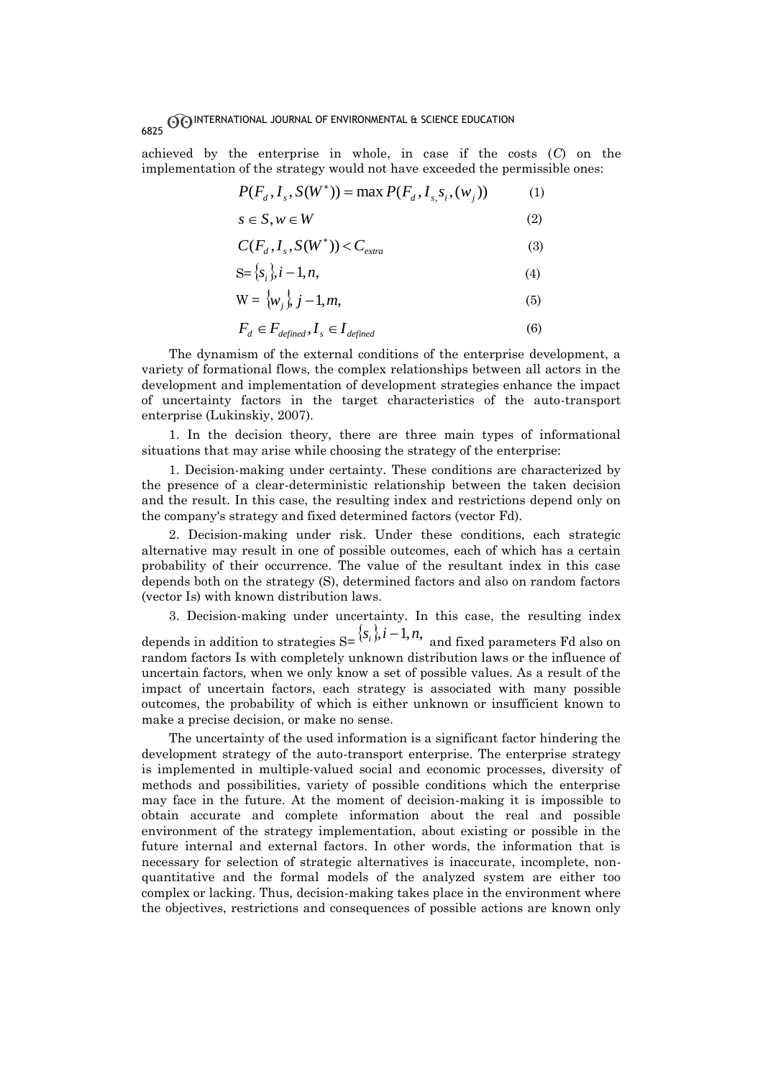achieved by the enterprise in whole, in case if the costs (*C*) on the implementation of the strategy would not have exceeded the permissible ones:

$$
P(F_d, I_s, S(W^*)) = \max P(F_d, I_s, S_i, (w_j))
$$
 (1)

$$
s \in S, w \in W \tag{2}
$$

$$
C(F_d, I_s, S(W^*)) < C_{extra}
$$
 (3)

$$
S = \{s_i\}, i - 1, n,\tag{4}
$$

$$
W = \langle w_j \rangle, j-1, m,
$$
\n(5)

$$
F_d \in F_{\text{defined}}, I_s \in I_{\text{defined}} \tag{6}
$$

The dynamism of the external conditions of the enterprise development, a variety of formational flows, the complex relationships between all actors in the development and implementation of development strategies enhance the impact of uncertainty factors in the target characteristics of the auto-transport enterprise (Lukinskiy, 2007).

1. In the decision theory, there are three main types of informational situations that may arise while choosing the strategy of the enterprise:

1. Decision-making under certainty. These conditions are characterized by the presence of a clear-deterministic relationship between the taken decision and the result. In this case, the resulting index and restrictions depend only on the company's strategy and fixed determined factors (vector Fd).

2. Decision-making under risk. Under these conditions, each strategic alternative may result in one of possible outcomes, each of which has a certain probability of their occurrence. The value of the resultant index in this case depends both on the strategy (S), determined factors and also on random factors (vector Is) with known distribution laws.

3. Decision-making under uncertainty. In this case, the resulting index depends in addition to strategies  $S = \{s_i\}$ ,  $i-1, n$ , and fixed parameters Fd also on random factors Is with completely unknown distribution laws or the influence of uncertain factors, when we only know a set of possible values. As a result of the impact of uncertain factors, each strategy is associated with many possible outcomes, the probability of which is either unknown or insufficient known to make a precise decision, or make no sense.

The uncertainty of the used information is a significant factor hindering the development strategy of the auto-transport enterprise. The enterprise strategy is implemented in multiple-valued social and economic processes, diversity of methods and possibilities, variety of possible conditions which the enterprise may face in the future. At the moment of decision-making it is impossible to obtain accurate and complete information about the real and possible environment of the strategy implementation, about existing or possible in the future internal and external factors. In other words, the information that is necessary for selection of strategic alternatives is inaccurate, incomplete, nonquantitative and the formal models of the analyzed system are either too complex or lacking. Thus, decision-making takes place in the environment where the objectives, restrictions and consequences of possible actions are known only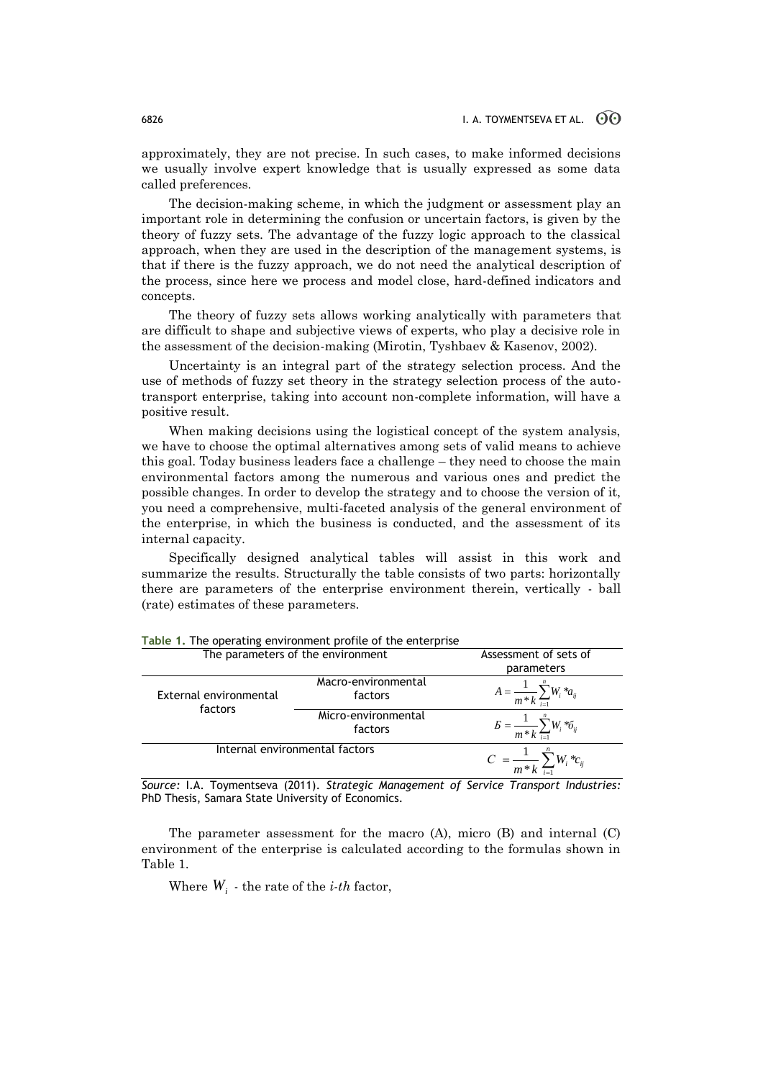approximately, they are not precise. In such cases, to make informed decisions we usually involve expert knowledge that is usually expressed as some data called preferences.

The decision-making scheme, in which the judgment or assessment play an important role in determining the confusion or uncertain factors, is given by the theory of fuzzy sets. The advantage of the fuzzy logic approach to the classical approach, when they are used in the description of the management systems, is that if there is the fuzzy approach, we do not need the analytical description of the process, since here we process and model close, hard-defined indicators and concepts.

The theory of fuzzy sets allows working analytically with parameters that are difficult to shape and subjective views of experts, who play a decisive role in the assessment of the decision-making (Mirotin, Tyshbaev & Kasenov, 2002).

Uncertainty is an integral part of the strategy selection process. And the use of methods of fuzzy set theory in the strategy selection process of the autotransport enterprise, taking into account non-complete information, will have a positive result.

When making decisions using the logistical concept of the system analysis, we have to choose the optimal alternatives among sets of valid means to achieve this goal. Today business leaders face a challenge – they need to choose the main environmental factors among the numerous and various ones and predict the possible changes. In order to develop the strategy and to choose the version of it, you need a comprehensive, multi-faceted analysis of the general environment of the enterprise, in which the business is conducted, and the assessment of its internal capacity.

Specifically designed analytical tables will assist in this work and summarize the results. Structurally the table consists of two parts: horizontally there are parameters of the enterprise environment therein, vertically - ball (rate) estimates of these parameters.

| The parameters of the environment |                                | Assessment of sets of<br>parameters                  |
|-----------------------------------|--------------------------------|------------------------------------------------------|
| External environmental<br>factors | Macro-environmental<br>factors | $A = \frac{1}{m*k} \sum_{i=1}^{n} W_i * a_{ij}$      |
|                                   | Micro-environmental<br>factors | $B = \frac{1}{m*k} \sum_{i=1}^{n} W_i * \delta_{ij}$ |
| Internal environmental factors    |                                | $C = \frac{1}{m*k} \sum_{i=1}^N W_i * c_{ij}$        |

**Table 1.** The operating environment profile of the enterprise

*Source:* I.A. Toymentseva (2011). *Strategic Management of Service Transport Industries:* PhD Thesis, Samara State University of Economics.

The parameter assessment for the macro (A), micro (B) and internal (C) environment of the enterprise is calculated according to the formulas shown in Table 1.

Where  $W_i$  - the rate of the *i-th* factor,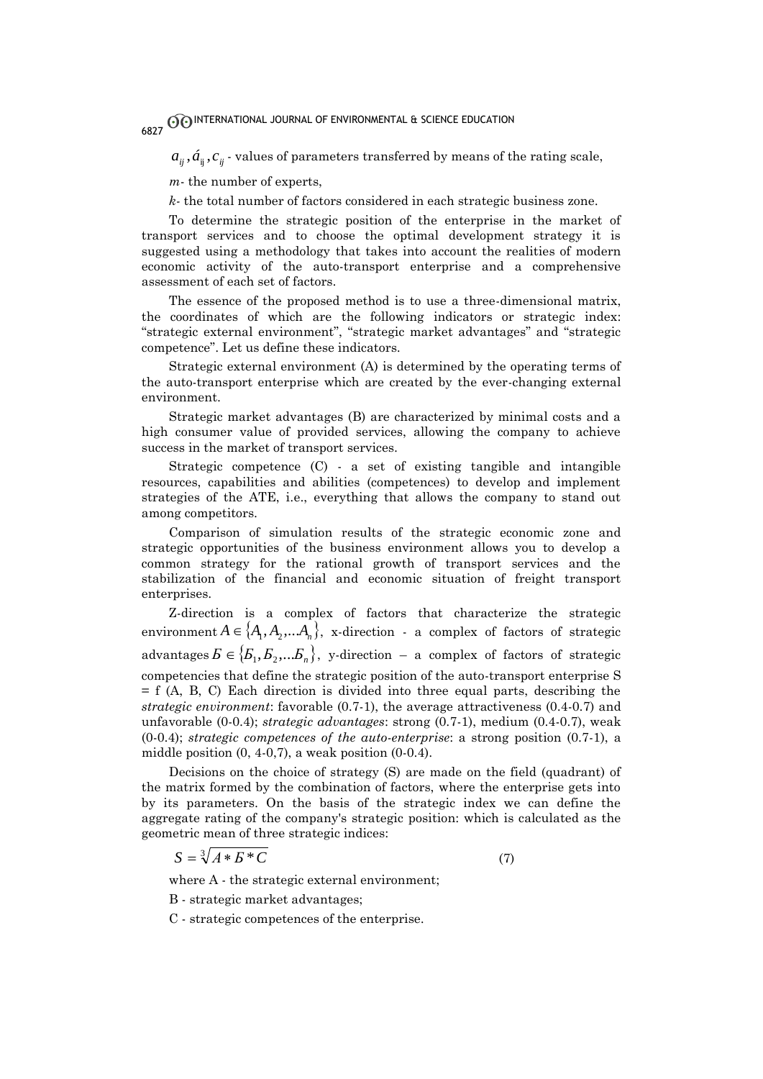$a_{ij}$  ,  $\acute{a}_{ij}$  ,  $c_{ij}$  - values of parameters transferred by means of the rating scale,

*m*- the number of experts,

*k-* the total number of factors considered in each strategic business zone.

To determine the strategic position of the enterprise in the market of transport services and to choose the optimal development strategy it is suggested using a methodology that takes into account the realities of modern economic activity of the auto-transport enterprise and a comprehensive assessment of each set of factors.

The essence of the proposed method is to use a three-dimensional matrix, the coordinates of which are the following indicators or strategic index: "strategic external environment", "strategic market advantages" and "strategic competence". Let us define these indicators.

Strategic external environment (A) is determined by the operating terms of the auto-transport enterprise which are created by the ever-changing external environment.

Strategic market advantages (B) are characterized by minimal costs and a high consumer value of provided services, allowing the company to achieve success in the market of transport services.

Strategic competence (C) - a set of existing tangible and intangible resources, capabilities and abilities (competences) to develop and implement strategies of the ATE, i.e., everything that allows the company to stand out among competitors.

Comparison of simulation results of the strategic economic zone and strategic opportunities of the business environment allows you to develop a common strategy for the rational growth of transport services and the stabilization of the financial and economic situation of freight transport enterprises.

Z-direction is a complex of factors that characterize the strategic environment  $A \in \{A_1, A_2, \ldots, A_n\}$ , x-direction - a complex of factors of strategic advantages  $\vec{B} \in \{E_1, E_2, \ldots, E_n\}$ , y-direction – a complex of factors of strategic competencies that define the strategic position of the auto-transport enterprise S = f (A, B, C) Each direction is divided into three equal parts, describing the *strategic environment*: favorable (0.7-1), the average attractiveness (0.4-0.7) and unfavorable (0-0.4); *strategic advantages*: strong (0.7-1), medium (0.4-0.7), weak (0-0.4); *strategic competences of the auto-enterprise*: a strong position (0.7-1), a middle position (0, 4-0,7), a weak position (0-0.4).

Decisions on the choice of strategy (S) are made on the field (quadrant) of the matrix formed by the combination of factors, where the enterprise gets into by its parameters. On the basis of the strategic index we can define the aggregate rating of the company's strategic position: which is calculated as the geometric mean of three strategic indices:

$$
S = \sqrt[3]{A*B*}C
$$
 (7)

where A - the strategic external environment;

B - strategic market advantages;

C - strategic competences of the enterprise.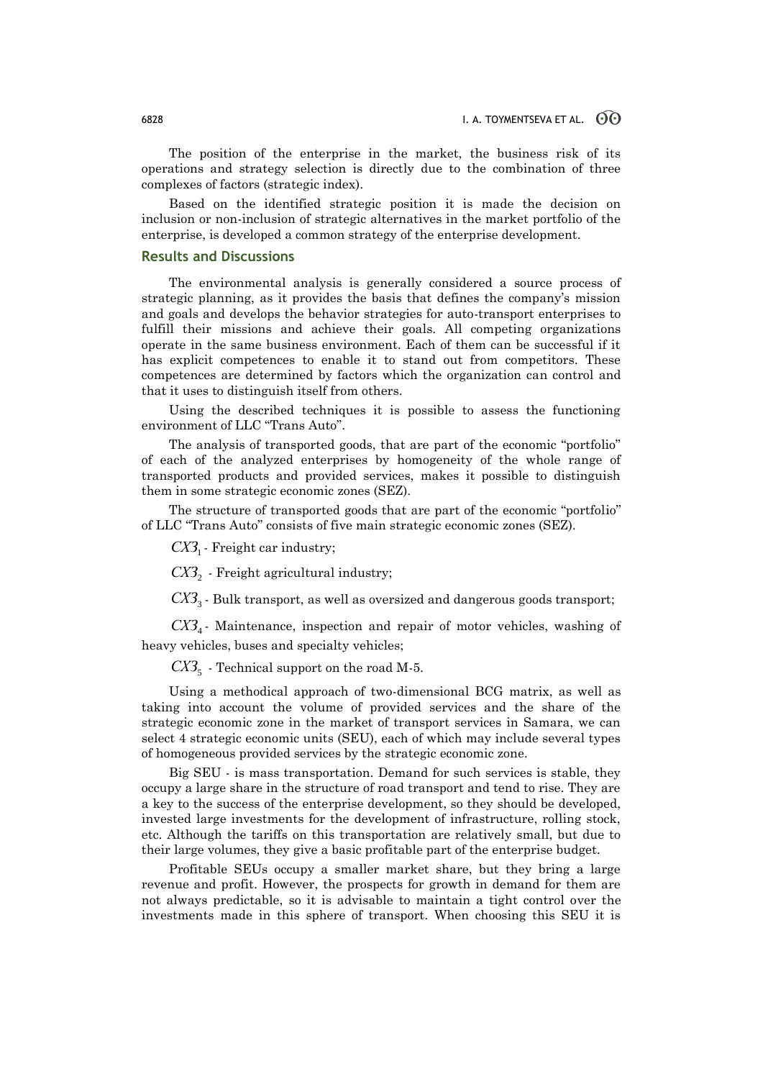The position of the enterprise in the market, the business risk of its operations and strategy selection is directly due to the combination of three complexes of factors (strategic index).

Based on the identified strategic position it is made the decision on inclusion or non-inclusion of strategic alternatives in the market portfolio of the enterprise, is developed a common strategy of the enterprise development.

# **Results and Discussions**

The environmental analysis is generally considered a source process of strategic planning, as it provides the basis that defines the company's mission and goals and develops the behavior strategies for auto-transport enterprises to fulfill their missions and achieve their goals. All competing organizations operate in the same business environment. Each of them can be successful if it has explicit competences to enable it to stand out from competitors. These competences are determined by factors which the organization can control and that it uses to distinguish itself from others.

Using the described techniques it is possible to assess the functioning environment of LLC "Trans Auto".

The analysis of transported goods, that are part of the economic "portfolio" of each of the analyzed enterprises by homogeneity of the whole range of transported products and provided services, makes it possible to distinguish them in some strategic economic zones (SEZ).

The structure of transported goods that are part of the economic "portfolio" of LLC "Trans Auto" consists of five main strategic economic zones (SEZ).

*СХЗ*<sup>1</sup> - Freight car industry;

*СХЗ*<sup>2</sup> - Freight agricultural industry;

*СХЗ*<sup>3</sup> - Bulk transport, as well as oversized and dangerous goods transport;

*СХЗ*<sup>4</sup> - Maintenance, inspection and repair of motor vehicles, washing of heavy vehicles, buses and specialty vehicles;

*СХЗ*<sup>5</sup> - Technical support on the road M-5.

Using a methodical approach of two-dimensional BCG matrix, as well as taking into account the volume of provided services and the share of the strategic economic zone in the market of transport services in Samara, we can select 4 strategic economic units (SEU), each of which may include several types of homogeneous provided services by the strategic economic zone.

Big SEU - is mass transportation. Demand for such services is stable, they occupy a large share in the structure of road transport and tend to rise. They are a key to the success of the enterprise development, so they should be developed, invested large investments for the development of infrastructure, rolling stock, etc. Although the tariffs on this transportation are relatively small, but due to their large volumes, they give a basic profitable part of the enterprise budget.

Profitable SEUs occupy a smaller market share, but they bring a large revenue and profit. However, the prospects for growth in demand for them are not always predictable, so it is advisable to maintain a tight control over the investments made in this sphere of transport. When choosing this SEU it is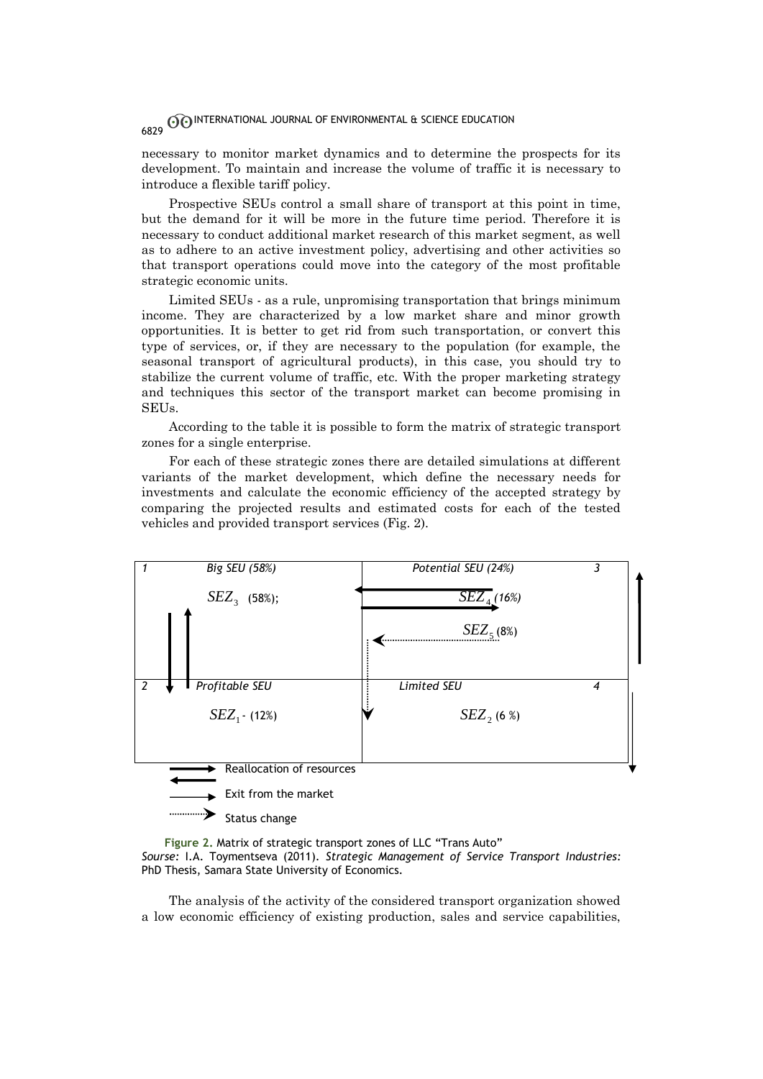necessary to monitor market dynamics and to determine the prospects for its development. To maintain and increase the volume of traffic it is necessary to introduce a flexible tariff policy.

Prospective SEUs control a small share of transport at this point in time, but the demand for it will be more in the future time period. Therefore it is necessary to conduct additional market research of this market segment, as well as to adhere to an active investment policy, advertising and other activities so that transport operations could move into the category of the most profitable strategic economic units.

Limited SEUs - as a rule, unpromising transportation that brings minimum income. They are characterized by a low market share and minor growth opportunities. It is better to get rid from such transportation, or convert this type of services, or, if they are necessary to the population (for example, the seasonal transport of agricultural products), in this case, you should try to stabilize the current volume of traffic, etc. With the proper marketing strategy and techniques this sector of the transport market can become promising in SEUs.

According to the table it is possible to form the matrix of strategic transport zones for a single enterprise.

For each of these strategic zones there are detailed simulations at different variants of the market development, which define the necessary needs for investments and calculate the economic efficiency of the accepted strategy by comparing the projected results and estimated costs for each of the tested vehicles and provided transport services (Fig. 2).



**Figure 2.** Matrix of strategic transport zones of LLC "Trans Auto" *Sourse:* I.A. Toymentseva (2011). *Strategic Management of Service Transport Industries:* PhD Thesis, Samara State University of Economics.

The analysis of the activity of the considered transport organization showed a low economic efficiency of existing production, sales and service capabilities,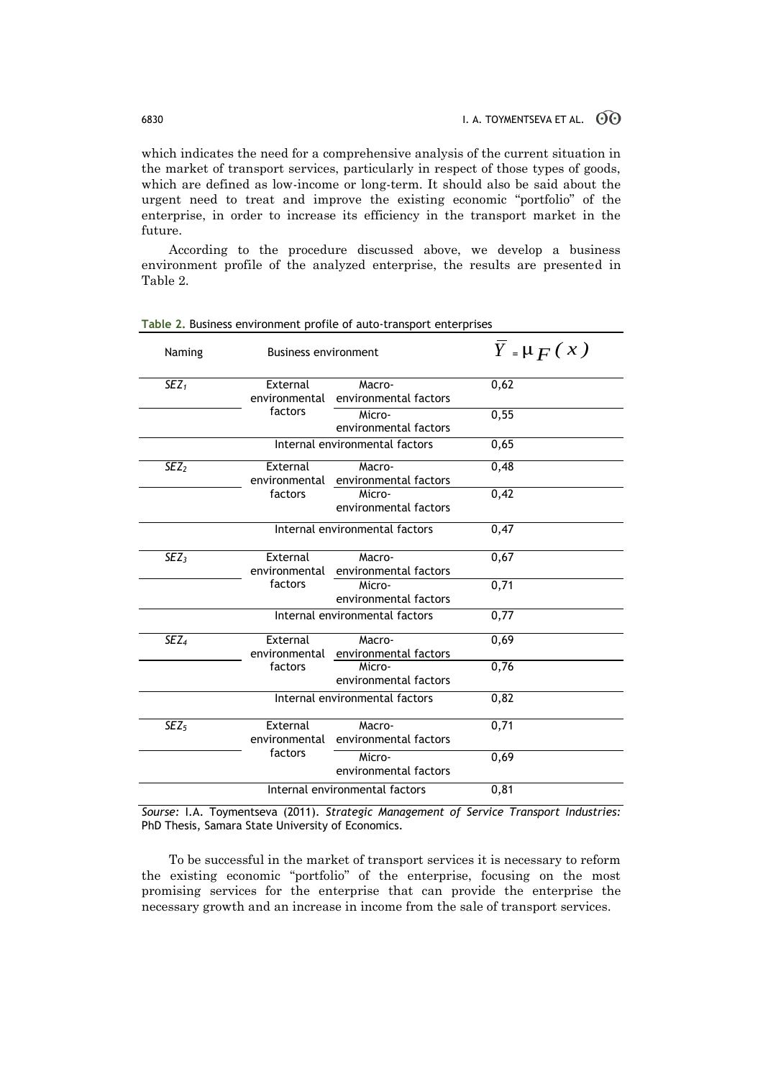which indicates the need for a comprehensive analysis of the current situation in the market of transport services, particularly in respect of those types of goods, which are defined as low-income or long-term. It should also be said about the urgent need to treat and improve the existing economic "portfolio" of the enterprise, in order to increase its efficiency in the transport market in the future.

According to the procedure discussed above, we develop a business environment profile of the analyzed enterprise, the results are presented in Table 2.

| Naming           | <b>Business environment</b>    |                                               | $Y = \mu F(x)$ |
|------------------|--------------------------------|-----------------------------------------------|----------------|
| $SEZ_1$          | External<br>environmental      | Macro-<br>environmental factors               | 0,62           |
|                  | factors                        | Micro-<br>environmental factors               | 0,55           |
|                  |                                | Internal environmental factors                | 0,65           |
| SEZ <sub>2</sub> | External                       | Macro-<br>environmental environmental factors | 0,48           |
|                  | factors                        | Micro-<br>environmental factors               | 0,42           |
|                  |                                | Internal environmental factors                | 0,47           |
| SEZ <sub>3</sub> | External<br>environmental      | Macro-<br>environmental factors               | 0,67           |
|                  | factors                        | Micro-<br>environmental factors               | 0,71           |
|                  |                                | Internal environmental factors                | 0,77           |
| SEZ <sub>4</sub> | External                       | Macro-<br>environmental environmental factors | 0,69           |
|                  | factors                        | Micro-<br>environmental factors               | 0,76           |
|                  | Internal environmental factors |                                               | 0,82           |
| SEZ <sub>5</sub> | External<br>environmental      | Macro-<br>environmental factors               | 0,71           |
|                  | factors                        | Micro-<br>environmental factors               | 0,69           |
|                  |                                | Internal environmental factors                | 0,81           |

**Table 2.** Business environment profile of auto-transport enterprises

*Sourse:* I.A. Toymentseva (2011). *Strategic Management of Service Transport Industries:* PhD Thesis, Samara State University of Economics.

To be successful in the market of transport services it is necessary to reform the existing economic "portfolio" of the enterprise, focusing on the most promising services for the enterprise that can provide the enterprise the necessary growth and an increase in income from the sale of transport services.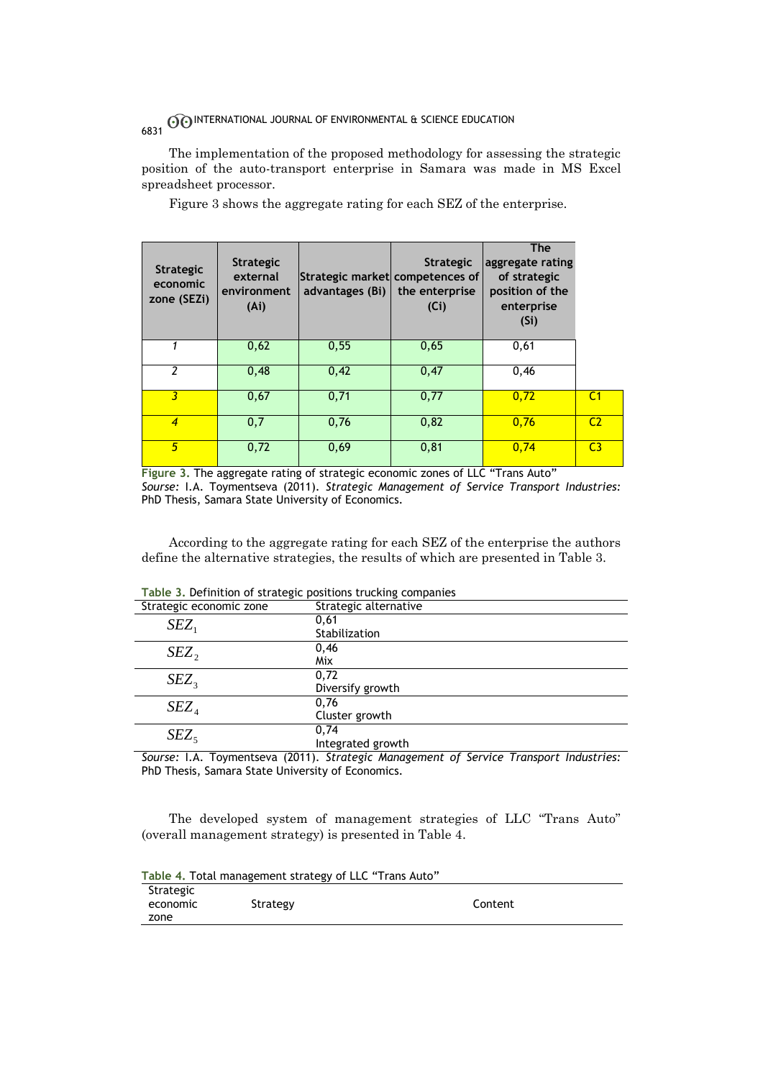The implementation of the proposed methodology for assessing the strategic position of the auto-transport enterprise in Samara was made in MS Excel spreadsheet processor.

Figure 3 shows the aggregate rating for each SEZ of the enterprise.

| <b>Strategic</b><br>economic<br>zone (SEZi) | <b>Strategic</b><br>external<br>environment<br>(A <sub>i</sub> ) | Strategic market competences of<br>advantages (Bi) | <b>Strategic</b><br>the enterprise<br>(Ci) | <b>The</b><br>aggregate rating<br>of strategic<br>position of the<br>enterprise<br>(S <sub>i</sub> ) |                |
|---------------------------------------------|------------------------------------------------------------------|----------------------------------------------------|--------------------------------------------|------------------------------------------------------------------------------------------------------|----------------|
|                                             | 0,62                                                             | 0,55                                               | 0,65                                       | 0,61                                                                                                 |                |
| $\overline{2}$                              | 0,48                                                             | 0,42                                               | 0,47                                       | 0,46                                                                                                 |                |
| 3                                           | 0,67                                                             | 0,71                                               | 0,77                                       | 0,72                                                                                                 | C <sub>1</sub> |
| $\overline{4}$                              | 0,7                                                              | 0,76                                               | 0,82                                       | 0,76                                                                                                 | C <sub>2</sub> |
| 5                                           | 0,72                                                             | 0,69                                               | 0, 81                                      | 0,74                                                                                                 | C <sub>3</sub> |

**Figure 3.** The aggregate rating of strategic economic zones of LLC "Trans Auto" *Sourse:* I.A. Toymentseva (2011). *Strategic Management of Service Transport Industries:* PhD Thesis, Samara State University of Economics.

According to the aggregate rating for each SEZ of the enterprise the authors define the alternative strategies, the results of which are presented in Table 3.

| Strategic economic zone | Strategic alternative |
|-------------------------|-----------------------|
| $SEZ_1$                 | 0,61                  |
|                         | Stabilization         |
| $SEZ$ ,                 | 0,46                  |
|                         | Mix                   |
| $SEZ_3$                 | 0,72                  |
|                         | Diversify growth      |
| SEZ <sub>4</sub>        | 0,76                  |
|                         | Cluster growth        |
| $SEZ_5$                 | 0,74                  |
|                         | Integrated growth     |

**Table 3.** Definition of strategic positions trucking companies

*Sourse:* I.A. Toymentseva (2011). *Strategic Management of Service Transport Industries:* PhD Thesis, Samara State University of Economics.

The developed system of management strategies of LLC "Trans Auto" (overall management strategy) is presented in Table 4.

|           | Table 4. Total management strategy of LLC "Trans Auto" |         |
|-----------|--------------------------------------------------------|---------|
| Strategic |                                                        |         |
| economic  | Strategy                                               | Content |
| zone      |                                                        |         |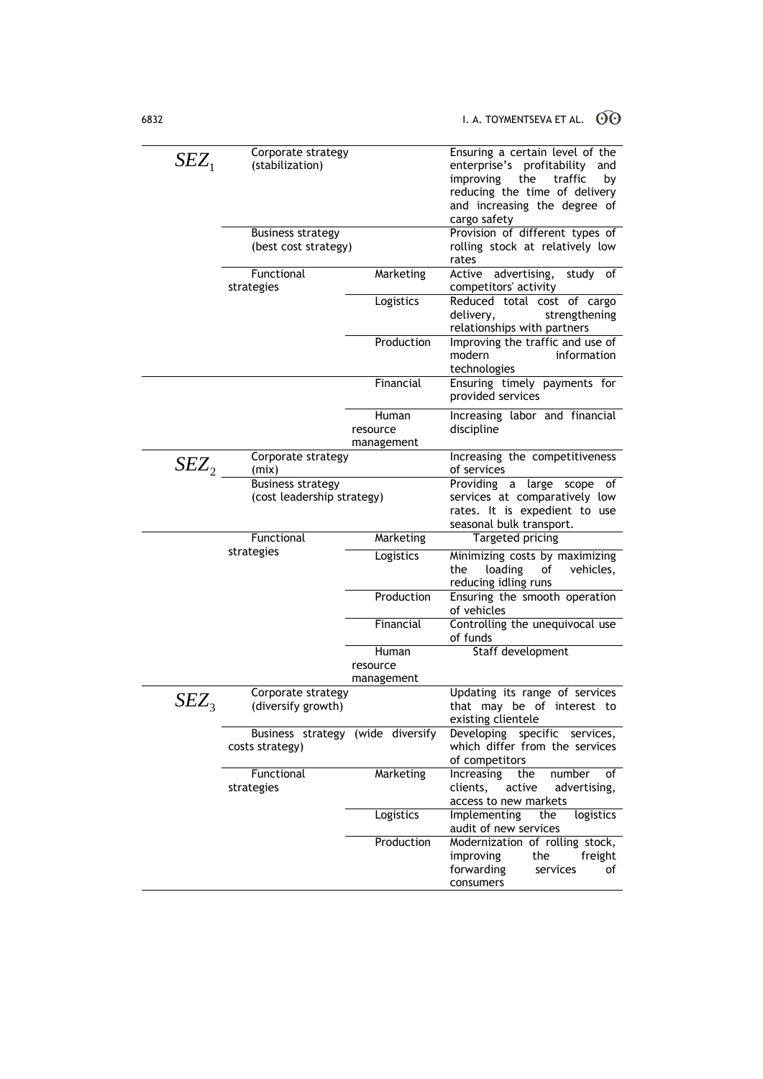| $SEZ_1$   | Corporate strategy<br>(stabilization)                |                        | Ensuring a certain level of the<br>enterprise's profitability<br>and<br>improving<br>the<br>traffic<br>by<br>reducing the time of delivery |
|-----------|------------------------------------------------------|------------------------|--------------------------------------------------------------------------------------------------------------------------------------------|
|           |                                                      |                        | and increasing the degree of                                                                                                               |
|           |                                                      |                        | cargo safety                                                                                                                               |
|           | <b>Business strategy</b><br>(best cost strategy)     |                        | Provision of different types of<br>rolling stock at relatively low                                                                         |
|           |                                                      |                        | rates                                                                                                                                      |
|           | Functional                                           | Marketing              | Active<br>advertising,<br>study of                                                                                                         |
|           | strategies                                           |                        | competitors' activity                                                                                                                      |
|           |                                                      | Logistics              | Reduced total cost of cargo<br>delivery,<br>strengthening<br>relationships with partners                                                   |
|           |                                                      | Production             | Improving the traffic and use of<br>modern<br>information<br>technologies                                                                  |
|           |                                                      | Financial              | Ensuring timely payments for<br>provided services                                                                                          |
|           |                                                      | Human                  | Increasing labor and financial                                                                                                             |
|           |                                                      | resource<br>management | discipline                                                                                                                                 |
| $SEZ_2$   | Corporate strategy<br>(mix)                          |                        | Increasing the competitiveness<br>of services                                                                                              |
|           | <b>Business strategy</b>                             |                        | Providing a<br>large scope<br>of                                                                                                           |
|           | (cost leadership strategy)                           |                        | services at comparatively low                                                                                                              |
|           |                                                      |                        | rates. It is expedient to use<br>seasonal bulk transport.                                                                                  |
|           | Functional                                           | Marketing              | Targeted pricing                                                                                                                           |
|           |                                                      |                        |                                                                                                                                            |
|           | strategies                                           |                        |                                                                                                                                            |
|           |                                                      | Logistics              | Minimizing costs by maximizing<br>loading<br>the<br>of<br>vehicles,<br>reducing idling runs                                                |
|           |                                                      | Production             | Ensuring the smooth operation<br>of vehicles                                                                                               |
|           |                                                      | Financial              | Controlling the unequivocal use<br>of funds                                                                                                |
|           |                                                      | Human                  | Staff development                                                                                                                          |
|           |                                                      | resource               |                                                                                                                                            |
|           |                                                      | management             |                                                                                                                                            |
| $SEZ_{3}$ | Corporate strategy<br>(diversify growth)             |                        | Updating its range of services<br>that may be of interest to<br>existing clientele                                                         |
|           | Business strategy (wide diversify<br>costs strategy) |                        | Developing<br>specific services,<br>which differ from the services                                                                         |
|           | Functional                                           | Marketing              | of competitors<br>Increasing<br>number<br>the<br>of                                                                                        |
|           | strategies                                           |                        | clients,<br>active<br>advertising,<br>access to new markets                                                                                |
|           |                                                      | Logistics              | Implementing<br>logistics<br>the<br>audit of new services                                                                                  |
|           |                                                      | Production             | Modernization of rolling stock,                                                                                                            |
|           |                                                      |                        | improving<br>the<br>freight<br>forwarding<br>services<br>of                                                                                |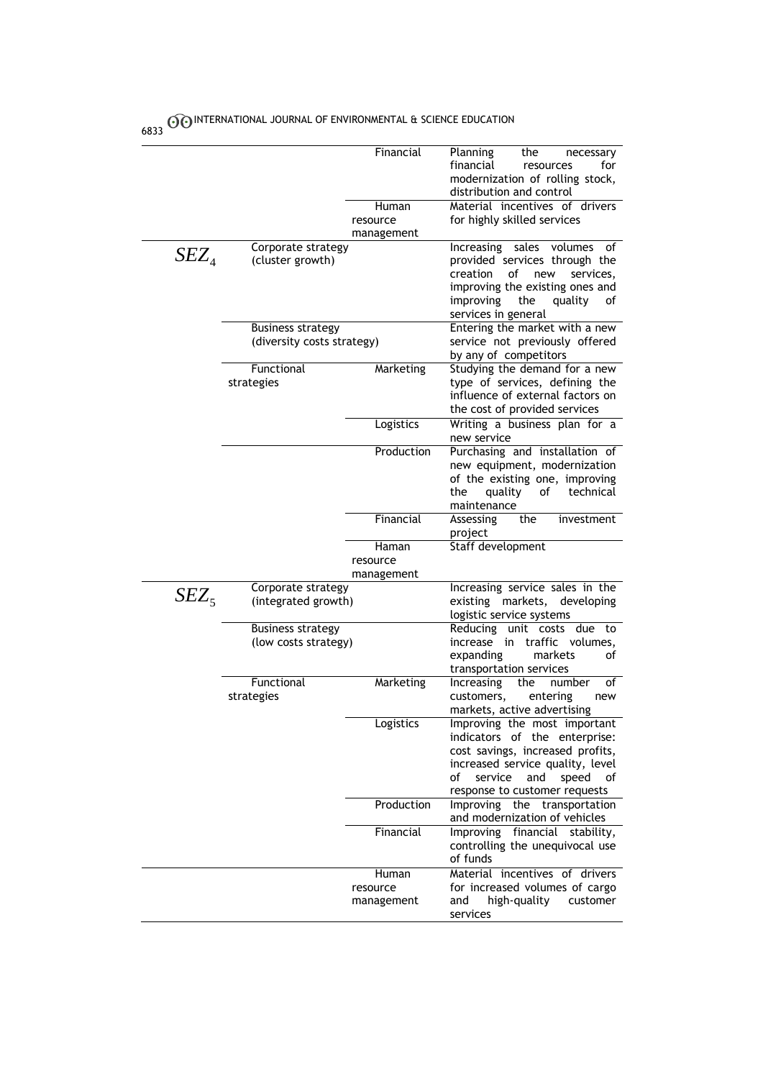| 6833    |                                                        |                                 |                                                                                                                                                                                                               |
|---------|--------------------------------------------------------|---------------------------------|---------------------------------------------------------------------------------------------------------------------------------------------------------------------------------------------------------------|
|         |                                                        | Financial<br>Human              | Planning<br>the<br>necessary<br>financial<br>resources<br>for<br>modernization of rolling stock,<br>distribution and control<br>Material incentives of drivers                                                |
|         |                                                        | resource<br>management          | for highly skilled services                                                                                                                                                                                   |
| $SEZ_4$ | Corporate strategy<br>(cluster growth)                 |                                 | Increasing sales<br>volumes<br>of<br>provided services through the<br>creation<br>of<br>new<br>services.<br>improving the existing ones and<br>improving<br>the<br>quality<br>of<br>services in general       |
|         | <b>Business strategy</b><br>(diversity costs strategy) |                                 | Entering the market with a new<br>service not previously offered<br>by any of competitors                                                                                                                     |
|         | Functional<br>strategies                               | Marketing                       | Studying the demand for a new<br>type of services, defining the<br>influence of external factors on<br>the cost of provided services                                                                          |
|         |                                                        | Logistics                       | Writing a business plan for a<br>new service                                                                                                                                                                  |
|         |                                                        | Production                      | Purchasing and installation of<br>new equipment, modernization<br>of the existing one, improving<br>of<br>technical<br>the<br>quality<br>maintenance                                                          |
|         |                                                        | Financial                       | Assessing<br>the<br>investment<br>project                                                                                                                                                                     |
|         |                                                        | Haman<br>resource               | Staff development                                                                                                                                                                                             |
|         |                                                        | management                      |                                                                                                                                                                                                               |
| $SEZ_5$ | Corporate strategy<br>(integrated growth)              |                                 | Increasing service sales in the<br>existing markets,<br>developing<br>logistic service systems                                                                                                                |
|         | <b>Business strategy</b><br>(low costs strategy)       |                                 | Reducing<br>unit costs due<br>to<br>increase in traffic volumes,<br>markets<br>expanding<br>οf<br>transportation services                                                                                     |
|         | Functional<br>strategies                               | Marketing                       | Increasing<br>the<br>number<br>of<br>customers,<br>entering<br>new<br>markets, active advertising                                                                                                             |
|         |                                                        | Logistics                       | Improving the most important<br>indicators of the enterprise:<br>cost savings, increased profits,<br>increased service quality, level<br>speed<br>of<br>service<br>and<br>οf<br>response to customer requests |
|         |                                                        | Production                      | Improving the transportation<br>and modernization of vehicles                                                                                                                                                 |
|         |                                                        | Financial                       | Improving financial stability,<br>controlling the unequivocal use<br>of funds                                                                                                                                 |
|         |                                                        | Human<br>resource<br>management | Material incentives of drivers<br>for increased volumes of cargo<br>high-quality<br>and<br>customer<br>services                                                                                               |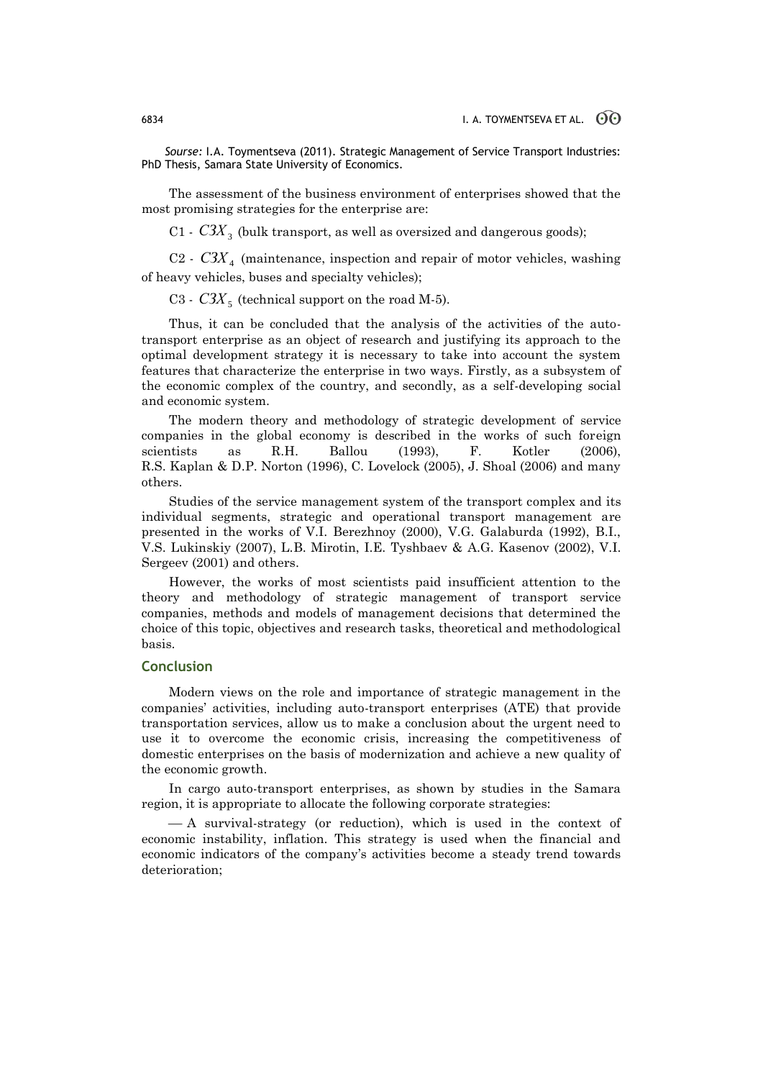*Sourse:* I.A. Toymentseva (2011). Strategic Management of Service Transport Industries: PhD Thesis, Samara State University of Economics.

The assessment of the business environment of enterprises showed that the most promising strategies for the enterprise are:

 $C1$  -  $C3X_3$  (bulk transport, as well as oversized and dangerous goods);

 $C2$  -  $C3X<sub>4</sub>$  (maintenance, inspection and repair of motor vehicles, washing of heavy vehicles, buses and specialty vehicles);

C3 -  $C3X_5$  (technical support on the road M-5).

Thus, it can be concluded that the analysis of the activities of the autotransport enterprise as an object of research and justifying its approach to the optimal development strategy it is necessary to take into account the system features that characterize the enterprise in two ways. Firstly, as a subsystem of the economic complex of the country, and secondly, as a self-developing social and economic system.

The modern theory and methodology of strategic development of service companies in the global economy is described in the works of such foreign scientists as R.H. Ballou (1993), F. Kotler (2006), R.S. Kaplan & D.P. Norton (1996), C. Lovelock (2005), J. Shoal (2006) and many others.

Studies of the service management system of the transport complex and its individual segments, strategic and operational transport management are presented in the works of V.I. Berezhnoy (2000), V.G. Galaburda (1992), B.I., V.S. Lukinskiy (2007), L.B. Mirotin, I.E. Tyshbaev & A.G. Kasenov (2002), V.I. Sergeev (2001) and others.

However, the works of most scientists paid insufficient attention to the theory and methodology of strategic management of transport service companies, methods and models of management decisions that determined the choice of this topic, objectives and research tasks, theoretical and methodological basis.

# **Conclusion**

Modern views on the role and importance of strategic management in the companies' activities, including auto-transport enterprises (ATE) that provide transportation services, allow us to make a conclusion about the urgent need to use it to overcome the economic crisis, increasing the competitiveness of domestic enterprises on the basis of modernization and achieve a new quality of the economic growth.

In cargo auto-transport enterprises, as shown by studies in the Samara region, it is appropriate to allocate the following corporate strategies:

 A survival-strategy (or reduction), which is used in the context of economic instability, inflation. This strategy is used when the financial and economic indicators of the company's activities become a steady trend towards deterioration;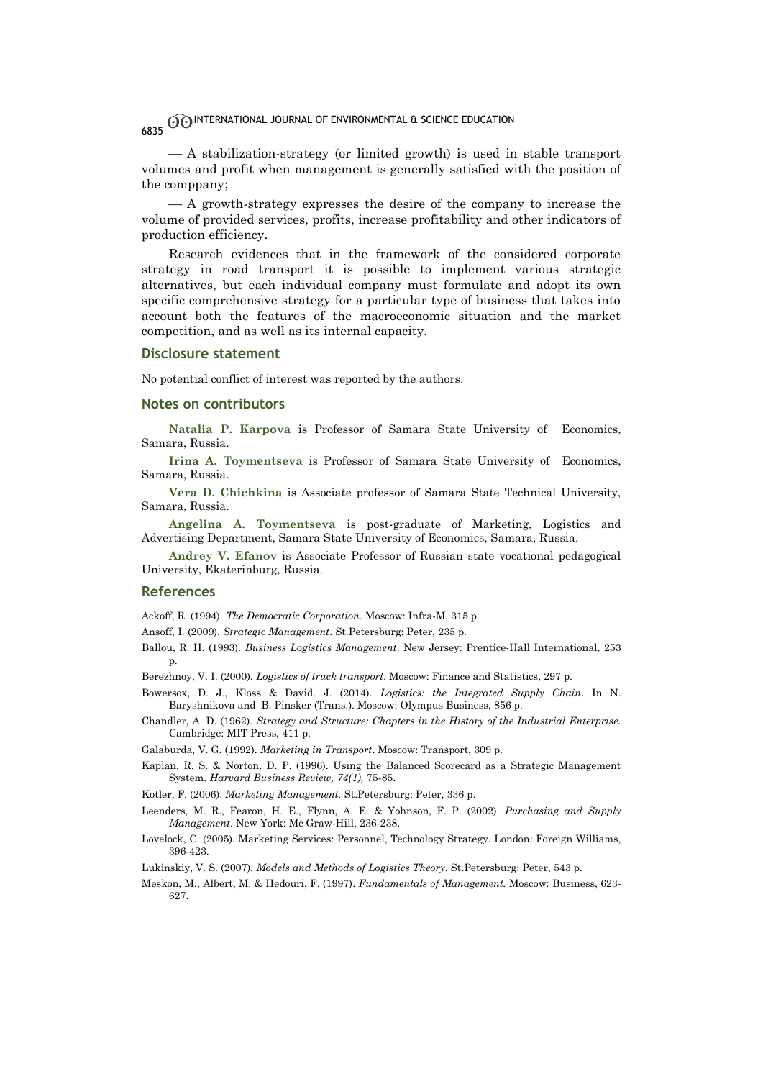$-A$  stabilization-strategy (or limited growth) is used in stable transport volumes and profit when management is generally satisfied with the position of the comppany;

 $-A$  growth-strategy expresses the desire of the company to increase the volume of provided services, profits, increase profitability and other indicators of production efficiency.

Research evidences that in the framework of the considered corporate strategy in road transport it is possible to implement various strategic alternatives, but each individual company must formulate and adopt its own specific comprehensive strategy for a particular type of business that takes into account both the features of the macroeconomic situation and the market competition, and as well as its internal capacity.

#### **Disclosure statement**

No potential conflict of interest was reported by the authors.

### **Notes on contributors**

**Natalia P. Karpova** is Professor of Samara State University of Economics, Samara, Russia.

**Irina A. Toymentseva** is Professor of Samara State University of Economics, Samara, Russia.

**Vera D. Chichkina** is Associate professor of Samara State Technical University, Samara, Russia.

**Angelina A. Toymentseva** is post-graduate of Marketing, Logistics and Advertising Department, Samara State University of Economics, Samara, Russia.

**Andrey V. Efanov** is Associate Professor of Russian state vocational pedagogical University, Ekaterinburg, Russia.

#### **References**

Ackoff, R. (1994). *The Democratic Corporation*. Moscow: Infra-M, 315 p.

Ansoff, I. (2009). *Strategic Management*. St.Petersburg: Peter, 235 p.

Ballou, R. H. (1993). *Business Logistics Management*. New Jersey: Prentice-Hall International, 253 p.

Berezhnoy, V. I. (2000). *Logistics of truck transport*. Moscow: Finance and Statistics, 297 p.

- Bowersox, D. J., Kloss & David. J. (2014). *Logistics: the Integrated Supply Chain*. In N. Baryshnikova and B. Pinsker (Trans.). Moscow: Olympus Business, 856 p.
- Chandler, A. D. (1962). *Strategy and Structure: Chapters in the History of the Industrial Enterprise.* Cambridge: MIT Press, 411 p.

Galaburda, V. G. (1992). *Marketing in Transport*. Moscow: Transport, 309 p.

Kaplan, R. S. & Norton, D. P. (1996). Using the Balanced Scorecard as a Strategic Management System. *Harvard Business Review, 74(1),* 75-85.

Kotler, F. (2006). *Marketing Management.* St.Petersburg: Peter, 336 p.

Leenders, M. R., Fearon, H. E., Flynn, A. E. & Yohnson, F. P. (2002). *Purchasing and Supply Management*. New York: Mc Graw-Hill, 236-238.

Lovelock, C. (2005). Marketing Services: Personnel, Technology Strategy. London: Foreign Williams, 396-423.

Lukinskiy, V. S. (2007). *Models and Methods of Logistics Theory.* St.Petersburg: Peter, 543 p.

Meskon, M., Albert, M. & Hedouri, F. (1997). *Fundamentals of Management.* Moscow: Business, 623- 627.